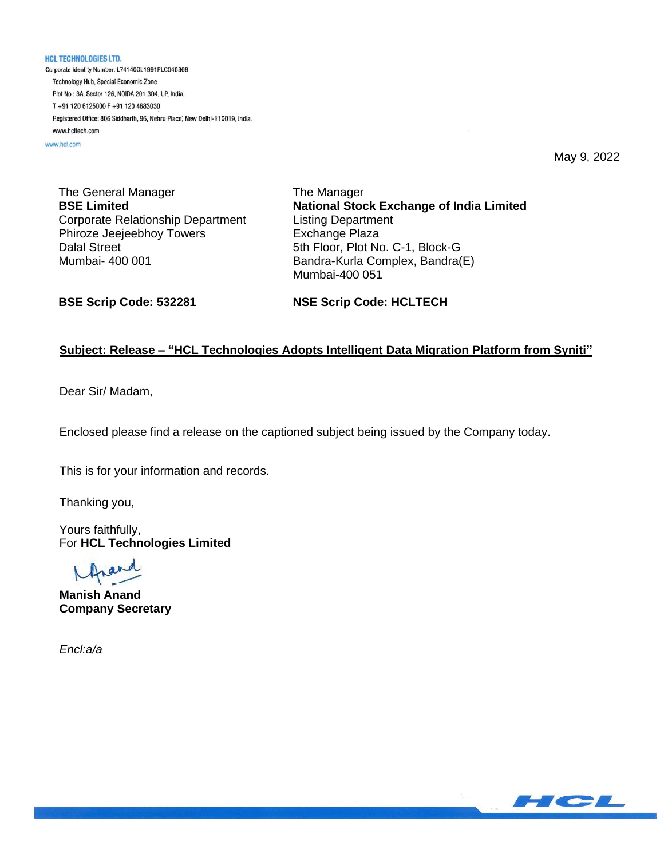**HCL TECHNOLOGIES LTD.** Corporate Identity Number: L74140DL1991PLC046369 Technology Hub, Special Economic Zone Plot No: 3A, Sector 126, NOIDA 201 304, UP, India. T+91 120 6125000 F+91 120 4683030 Registered Office: 806 Siddharth, 96, Nehru Place, New Delhi-110019, India. www.hcltech.com

www.hcl.com

May 9, 2022

The General Manager **BSE Limited** Corporate Relationship Department Phiroze Jeejeebhoy Towers Dalal Street Mumbai- 400 001

The Manager **National Stock Exchange of India Limited** Listing Department Exchange Plaza 5th Floor, Plot No. C-1, Block-G Bandra-Kurla Complex, Bandra(E) Mumbai-400 051

**BSE Scrip Code: 532281**

**NSE Scrip Code: HCLTECH**

## **Subject: Release – "HCL Technologies Adopts Intelligent Data Migration Platform from Syniti"**

Dear Sir/ Madam,

Enclosed please find a release on the captioned subject being issued by the Company today.

This is for your information and records.

Thanking you,

Yours faithfully, For **HCL Technologies Limited**

**Manish Anand Company Secretary**

*Encl:a/a*

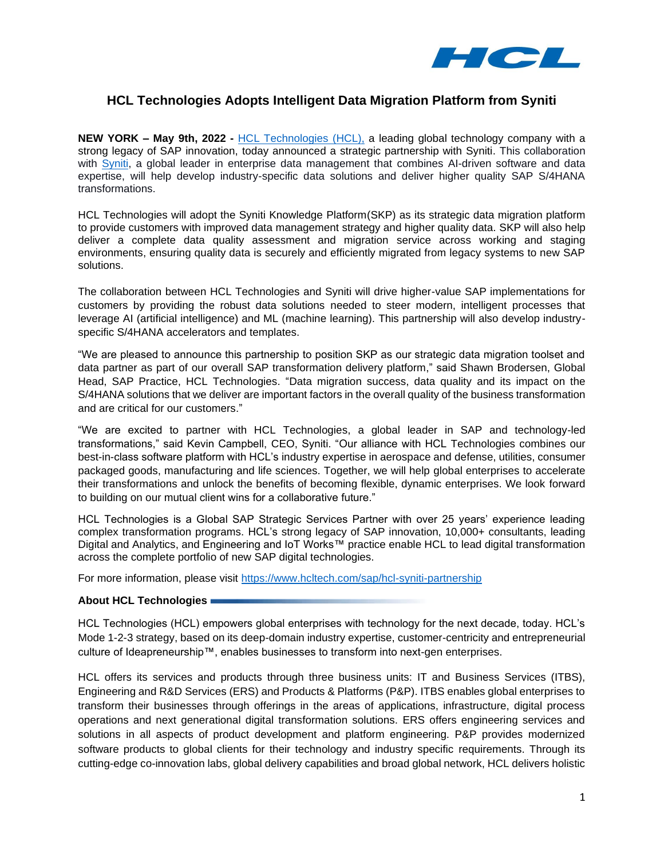

## **HCL Technologies Adopts Intelligent Data Migration Platform from Syniti**

**NEW YORK – May 9th, 2022 -** [HCL Technologies](https://www.hcltech.com/) (HCL), a leading global technology company with a strong legacy of SAP innovation, today announced a strategic partnership with Syniti. This collaboration with [Syniti,](http://www.syniti.com/) a global leader in enterprise data management that combines AI-driven software and data expertise, will help develop industry-specific data solutions and deliver higher quality SAP S/4HANA transformations.

HCL Technologies will adopt the Syniti Knowledge Platform(SKP) as its strategic data migration platform to provide customers with improved data management strategy and higher quality data. SKP will also help deliver a complete data quality assessment and migration service across working and staging environments, ensuring quality data is securely and efficiently migrated from legacy systems to new SAP solutions.

The collaboration between HCL Technologies and Syniti will drive higher-value SAP implementations for customers by providing the robust data solutions needed to steer modern, intelligent processes that leverage AI (artificial intelligence) and ML (machine learning). This partnership will also develop industryspecific S/4HANA accelerators and templates.

"We are pleased to announce this partnership to position SKP as our strategic data migration toolset and data partner as part of our overall SAP transformation delivery platform," said Shawn Brodersen, Global Head, SAP Practice, HCL Technologies. "Data migration success, data quality and its impact on the S/4HANA solutions that we deliver are important factors in the overall quality of the business transformation and are critical for our customers."

"We are excited to partner with HCL Technologies, a global leader in SAP and technology-led transformations," said Kevin Campbell, CEO, Syniti. "Our alliance with HCL Technologies combines our best-in-class software platform with HCL's industry expertise in aerospace and defense, utilities, consumer packaged goods, manufacturing and life sciences. Together, we will help global enterprises to accelerate their transformations and unlock the benefits of becoming flexible, dynamic enterprises. We look forward to building on our mutual client wins for a collaborative future."

HCL Technologies is a Global SAP Strategic Services Partner with over 25 years' experience leading complex transformation programs. HCL's strong legacy of SAP innovation, 10,000+ consultants, leading Digital and Analytics, and Engineering and IoT Works™ practice enable HCL to lead digital transformation across the complete portfolio of new SAP digital technologies.

For more information, please visit<https://www.hcltech.com/sap/hcl-syniti-partnership>

## **About HCL Technologies**

HCL Technologies (HCL) empowers global enterprises with technology for the next decade, today. HCL's Mode 1-2-3 strategy, based on its deep-domain industry expertise, customer-centricity and entrepreneurial culture of Ideapreneurship™, enables businesses to transform into next-gen enterprises.

HCL offers its services and products through three business units: IT and Business Services (ITBS), Engineering and R&D Services (ERS) and Products & Platforms (P&P). ITBS enables global enterprises to transform their businesses through offerings in the areas of applications, infrastructure, digital process operations and next generational digital transformation solutions. ERS offers engineering services and solutions in all aspects of product development and platform engineering. P&P provides modernized software products to global clients for their technology and industry specific requirements. Through its cutting-edge co-innovation labs, global delivery capabilities and broad global network, HCL delivers holistic